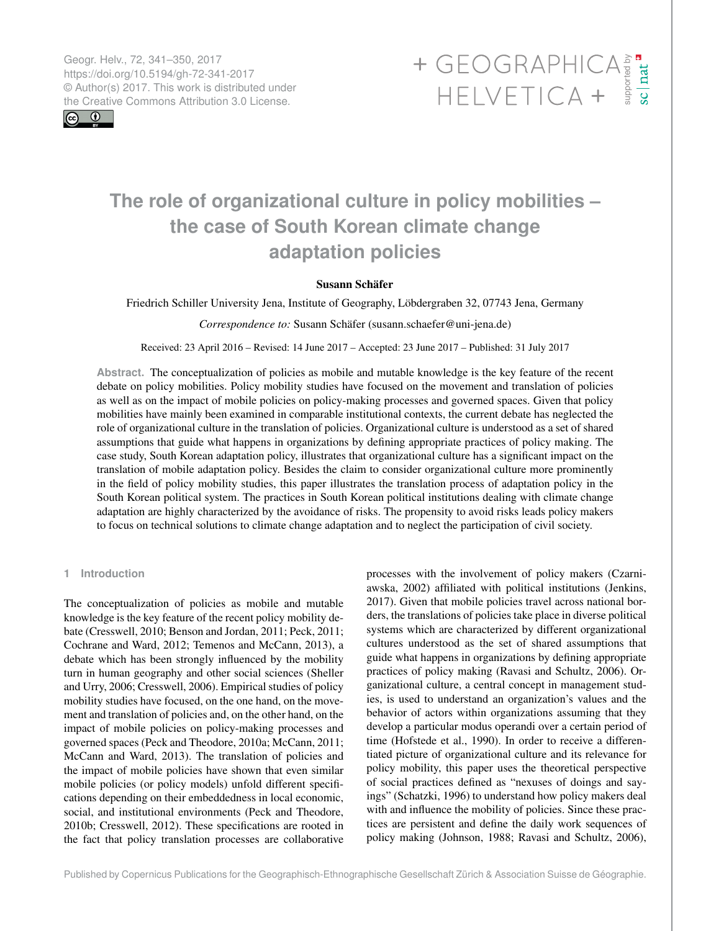Geogr. Helv., 72, 341–350, 2017 https://doi.org/10.5194/gh-72-341-2017 © Author(s) 2017. This work is distributed under

 $\boxed{6}$   $\boxed{0}$ 

# <span id="page-0-0"></span>Geogr. Helv., 72, 341–350, 2017<br>https://doi.org/10.5194/gh-72-341-2017<br>
© Author(s) 2017. This work is distributed under<br>
the Creative Commons Attribution 3.0 License.<br>
HELVETICA +

## **The role of organizational culture in policy mobilities – the case of South Korean climate change adaptation policies**

### Susann Schäfer

Friedrich Schiller University Jena, Institute of Geography, Löbdergraben 32, 07743 Jena, Germany

*Correspondence to:* Susann Schäfer (susann.schaefer@uni-jena.de)

Received: 23 April 2016 – Revised: 14 June 2017 – Accepted: 23 June 2017 – Published: 31 July 2017

**Abstract.** The conceptualization of policies as mobile and mutable knowledge is the key feature of the recent debate on policy mobilities. Policy mobility studies have focused on the movement and translation of policies as well as on the impact of mobile policies on policy-making processes and governed spaces. Given that policy mobilities have mainly been examined in comparable institutional contexts, the current debate has neglected the role of organizational culture in the translation of policies. Organizational culture is understood as a set of shared assumptions that guide what happens in organizations by defining appropriate practices of policy making. The case study, South Korean adaptation policy, illustrates that organizational culture has a significant impact on the translation of mobile adaptation policy. Besides the claim to consider organizational culture more prominently in the field of policy mobility studies, this paper illustrates the translation process of adaptation policy in the South Korean political system. The practices in South Korean political institutions dealing with climate change adaptation are highly characterized by the avoidance of risks. The propensity to avoid risks leads policy makers to focus on technical solutions to climate change adaptation and to neglect the participation of civil society.

#### **1 Introduction**

The conceptualization of policies as mobile and mutable knowledge is the key feature of the recent policy mobility debate (Cresswell, 2010; Benson and Jordan, 2011; Peck, 2011; Cochrane and Ward, 2012; Temenos and McCann, 2013), a debate which has been strongly influenced by the mobility turn in human geography and other social sciences (Sheller and Urry, 2006; Cresswell, 2006). Empirical studies of policy mobility studies have focused, on the one hand, on the movement and translation of policies and, on the other hand, on the impact of mobile policies on policy-making processes and governed spaces (Peck and Theodore, 2010a; McCann, 2011; McCann and Ward, 2013). The translation of policies and the impact of mobile policies have shown that even similar mobile policies (or policy models) unfold different specifications depending on their embeddedness in local economic, social, and institutional environments (Peck and Theodore, 2010b; Cresswell, 2012). These specifications are rooted in the fact that policy translation processes are collaborative

processes with the involvement of policy makers (Czarniawska, 2002) affiliated with political institutions (Jenkins, 2017). Given that mobile policies travel across national borders, the translations of policies take place in diverse political systems which are characterized by different organizational cultures understood as the set of shared assumptions that guide what happens in organizations by defining appropriate practices of policy making (Ravasi and Schultz, 2006). Organizational culture, a central concept in management studies, is used to understand an organization's values and the behavior of actors within organizations assuming that they develop a particular modus operandi over a certain period of time (Hofstede et al., 1990). In order to receive a differentiated picture of organizational culture and its relevance for policy mobility, this paper uses the theoretical perspective of social practices defined as "nexuses of doings and sayings" (Schatzki, 1996) to understand how policy makers deal with and influence the mobility of policies. Since these practices are persistent and define the daily work sequences of policy making (Johnson, 1988; Ravasi and Schultz, 2006),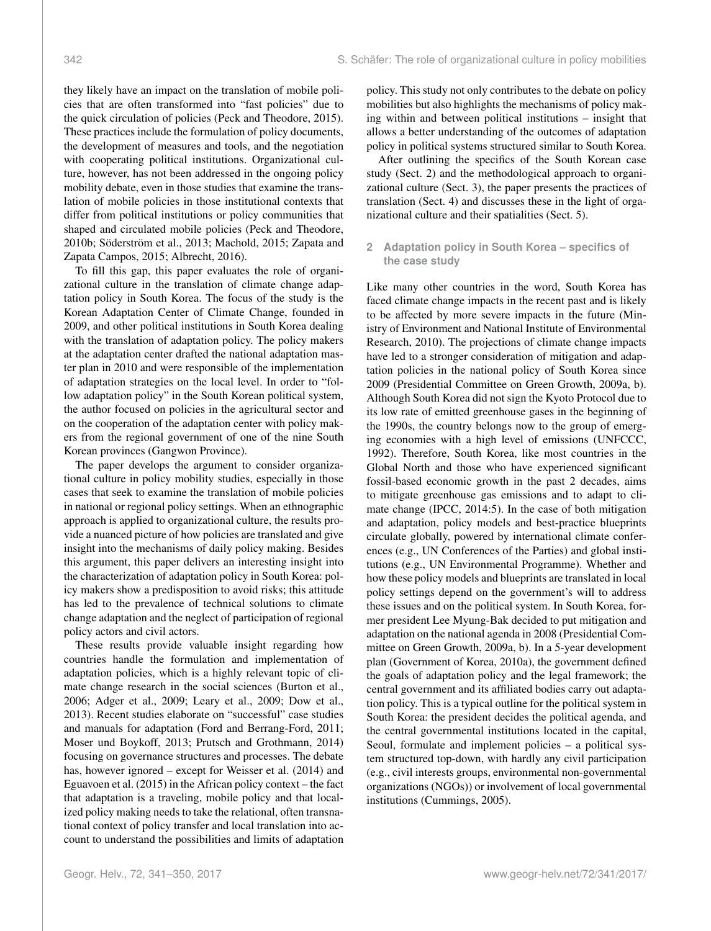they likely have an impact on the translation of mobile policies that are often transformed into "fast policies" due to the quick circulation of policies (Peck and Theodore, 2015). These practices include the formulation of policy documents, the development of measures and tools, and the negotiation with cooperating political institutions. Organizational culture, however, has not been addressed in the ongoing policy mobility debate, even in those studies that examine the translation of mobile policies in those institutional contexts that differ from political institutions or policy communities that shaped and circulated mobile policies (Peck and Theodore, 2010b; Söderström et al., 2013; Machold, 2015; Zapata and Zapata Campos, 2015; Albrecht, 2016).

To fill this gap, this paper evaluates the role of organizational culture in the translation of climate change adaptation policy in South Korea. The focus of the study is the Korean Adaptation Center of Climate Change, founded in 2009, and other political institutions in South Korea dealing with the translation of adaptation policy. The policy makers at the adaptation center drafted the national adaptation master plan in 2010 and were responsible of the implementation of adaptation strategies on the local level. In order to "follow adaptation policy" in the South Korean political system, the author focused on policies in the agricultural sector and on the cooperation of the adaptation center with policy makers from the regional government of one of the nine South Korean provinces (Gangwon Province).

The paper develops the argument to consider organizational culture in policy mobility studies, especially in those cases that seek to examine the translation of mobile policies in national or regional policy settings. When an ethnographic approach is applied to organizational culture, the results provide a nuanced picture of how policies are translated and give insight into the mechanisms of daily policy making. Besides this argument, this paper delivers an interesting insight into the characterization of adaptation policy in South Korea: policy makers show a predisposition to avoid risks; this attitude has led to the prevalence of technical solutions to climate change adaptation and the neglect of participation of regional policy actors and civil actors.

These results provide valuable insight regarding how countries handle the formulation and implementation of adaptation policies, which is a highly relevant topic of climate change research in the social sciences (Burton et al., 2006; Adger et al., 2009; Leary et al., 2009; Dow et al., 2013). Recent studies elaborate on "successful" case studies and manuals for adaptation (Ford and Berrang-Ford, 2011; Moser und Boykoff, 2013; Prutsch and Grothmann, 2014) focusing on governance structures and processes. The debate has, however ignored – except for Weisser et al. (2014) and Eguavoen et al. (2015) in the African policy context – the fact that adaptation is a traveling, mobile policy and that localized policy making needs to take the relational, often transnational context of policy transfer and local translation into account to understand the possibilities and limits of adaptation

policy. This study not only contributes to the debate on policy mobilities but also highlights the mechanisms of policy making within and between political institutions – insight that allows a better understanding of the outcomes of adaptation policy in political systems structured similar to South Korea.

After outlining the specifics of the South Korean case study (Sect. 2) and the methodological approach to organizational culture (Sect. 3), the paper presents the practices of translation (Sect. 4) and discusses these in the light of organizational culture and their spatialities (Sect. 5).

### **2 Adaptation policy in South Korea – specifics of the case study**

Like many other countries in the word, South Korea has faced climate change impacts in the recent past and is likely to be affected by more severe impacts in the future (Ministry of Environment and National Institute of Environmental Research, 2010). The projections of climate change impacts have led to a stronger consideration of mitigation and adaptation policies in the national policy of South Korea since 2009 (Presidential Committee on Green Growth, 2009a, b). Although South Korea did not sign the Kyoto Protocol due to its low rate of emitted greenhouse gases in the beginning of the 1990s, the country belongs now to the group of emerging economies with a high level of emissions (UNFCCC, 1992). Therefore, South Korea, like most countries in the Global North and those who have experienced significant fossil-based economic growth in the past 2 decades, aims to mitigate greenhouse gas emissions and to adapt to climate change (IPCC, 2014:5). In the case of both mitigation and adaptation, policy models and best-practice blueprints circulate globally, powered by international climate conferences (e.g., UN Conferences of the Parties) and global institutions (e.g., UN Environmental Programme). Whether and how these policy models and blueprints are translated in local policy settings depend on the government's will to address these issues and on the political system. In South Korea, former president Lee Myung-Bak decided to put mitigation and adaptation on the national agenda in 2008 (Presidential Committee on Green Growth, 2009a, b). In a 5-year development plan (Government of Korea, 2010a), the government defined the goals of adaptation policy and the legal framework; the central government and its affiliated bodies carry out adaptation policy. This is a typical outline for the political system in South Korea: the president decides the political agenda, and the central governmental institutions located in the capital, Seoul, formulate and implement policies – a political system structured top-down, with hardly any civil participation (e.g., civil interests groups, environmental non-governmental organizations (NGOs)) or involvement of local governmental institutions (Cummings, 2005).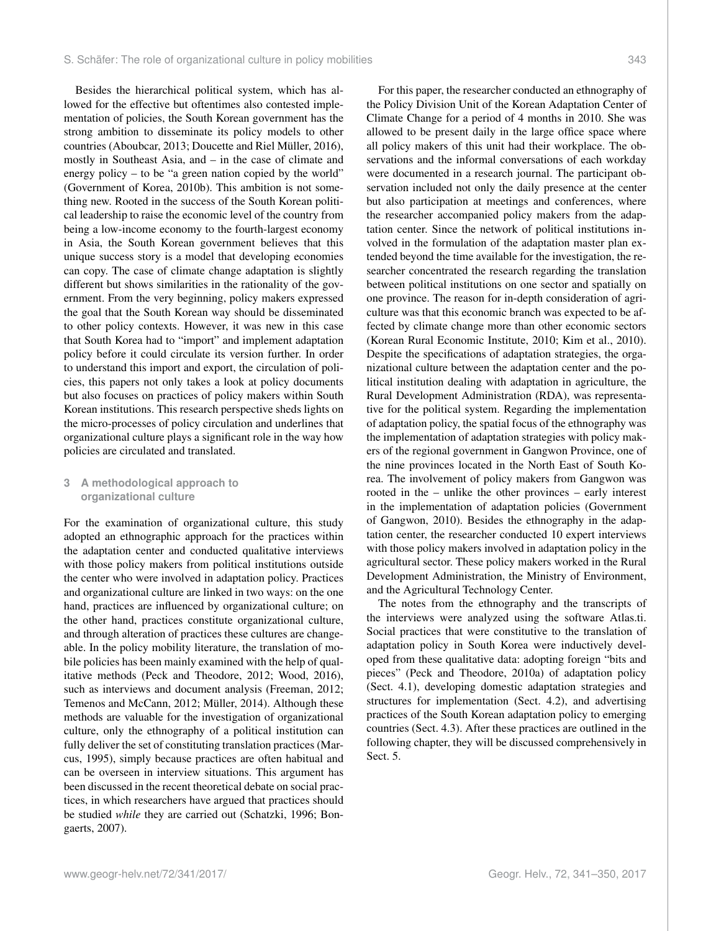Besides the hierarchical political system, which has allowed for the effective but oftentimes also contested implementation of policies, the South Korean government has the strong ambition to disseminate its policy models to other countries (Aboubcar, 2013; Doucette and Riel Müller, 2016), mostly in Southeast Asia, and – in the case of climate and energy policy – to be "a green nation copied by the world" (Government of Korea, 2010b). This ambition is not something new. Rooted in the success of the South Korean political leadership to raise the economic level of the country from being a low-income economy to the fourth-largest economy in Asia, the South Korean government believes that this unique success story is a model that developing economies can copy. The case of climate change adaptation is slightly different but shows similarities in the rationality of the government. From the very beginning, policy makers expressed the goal that the South Korean way should be disseminated to other policy contexts. However, it was new in this case that South Korea had to "import" and implement adaptation policy before it could circulate its version further. In order to understand this import and export, the circulation of policies, this papers not only takes a look at policy documents but also focuses on practices of policy makers within South Korean institutions. This research perspective sheds lights on the micro-processes of policy circulation and underlines that organizational culture plays a significant role in the way how policies are circulated and translated.

#### **3 A methodological approach to organizational culture**

For the examination of organizational culture, this study adopted an ethnographic approach for the practices within the adaptation center and conducted qualitative interviews with those policy makers from political institutions outside the center who were involved in adaptation policy. Practices and organizational culture are linked in two ways: on the one hand, practices are influenced by organizational culture; on the other hand, practices constitute organizational culture, and through alteration of practices these cultures are changeable. In the policy mobility literature, the translation of mobile policies has been mainly examined with the help of qualitative methods (Peck and Theodore, 2012; Wood, 2016), such as interviews and document analysis (Freeman, 2012; Temenos and McCann, 2012; Müller, 2014). Although these methods are valuable for the investigation of organizational culture, only the ethnography of a political institution can fully deliver the set of constituting translation practices (Marcus, 1995), simply because practices are often habitual and can be overseen in interview situations. This argument has been discussed in the recent theoretical debate on social practices, in which researchers have argued that practices should be studied *while* they are carried out (Schatzki, 1996; Bongaerts, 2007).

For this paper, the researcher conducted an ethnography of the Policy Division Unit of the Korean Adaptation Center of Climate Change for a period of 4 months in 2010. She was allowed to be present daily in the large office space where all policy makers of this unit had their workplace. The observations and the informal conversations of each workday were documented in a research journal. The participant observation included not only the daily presence at the center but also participation at meetings and conferences, where the researcher accompanied policy makers from the adaptation center. Since the network of political institutions involved in the formulation of the adaptation master plan extended beyond the time available for the investigation, the researcher concentrated the research regarding the translation between political institutions on one sector and spatially on one province. The reason for in-depth consideration of agriculture was that this economic branch was expected to be affected by climate change more than other economic sectors (Korean Rural Economic Institute, 2010; Kim et al., 2010). Despite the specifications of adaptation strategies, the organizational culture between the adaptation center and the political institution dealing with adaptation in agriculture, the Rural Development Administration (RDA), was representative for the political system. Regarding the implementation of adaptation policy, the spatial focus of the ethnography was the implementation of adaptation strategies with policy makers of the regional government in Gangwon Province, one of the nine provinces located in the North East of South Korea. The involvement of policy makers from Gangwon was rooted in the – unlike the other provinces – early interest in the implementation of adaptation policies (Government of Gangwon, 2010). Besides the ethnography in the adaptation center, the researcher conducted 10 expert interviews with those policy makers involved in adaptation policy in the agricultural sector. These policy makers worked in the Rural Development Administration, the Ministry of Environment, and the Agricultural Technology Center.

The notes from the ethnography and the transcripts of the interviews were analyzed using the software Atlas.ti. Social practices that were constitutive to the translation of adaptation policy in South Korea were inductively developed from these qualitative data: adopting foreign "bits and pieces" (Peck and Theodore, 2010a) of adaptation policy (Sect. 4.1), developing domestic adaptation strategies and structures for implementation (Sect. 4.2), and advertising practices of the South Korean adaptation policy to emerging countries (Sect. 4.3). After these practices are outlined in the following chapter, they will be discussed comprehensively in Sect. 5.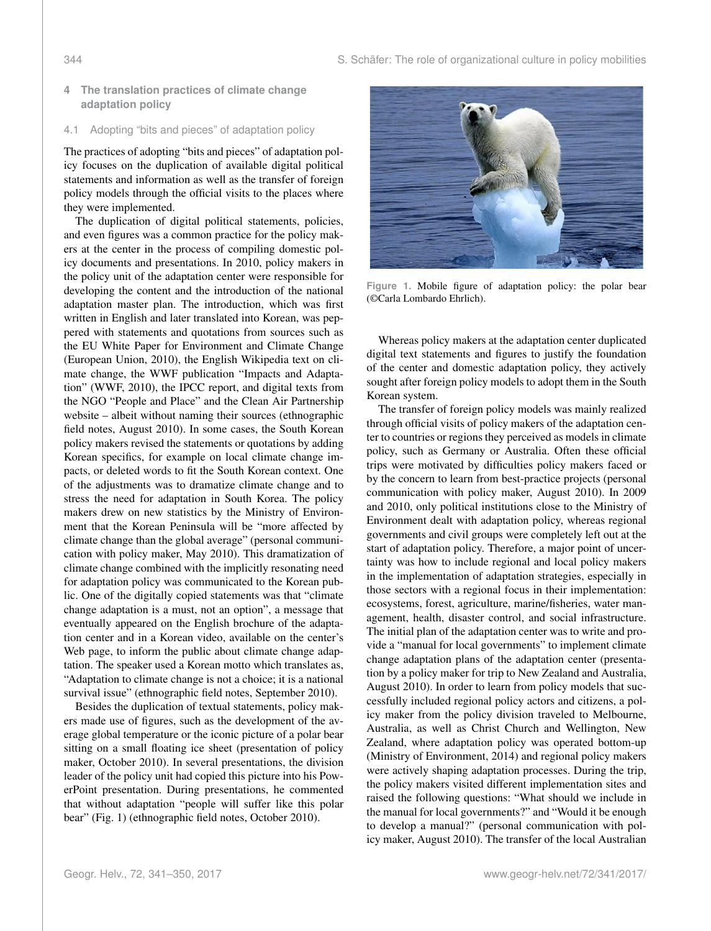**4 The translation practices of climate change adaptation policy**

#### 4.1 Adopting "bits and pieces" of adaptation policy

The practices of adopting "bits and pieces" of adaptation policy focuses on the duplication of available digital political statements and information as well as the transfer of foreign policy models through the official visits to the places where they were implemented.

The duplication of digital political statements, policies, and even figures was a common practice for the policy makers at the center in the process of compiling domestic policy documents and presentations. In 2010, policy makers in the policy unit of the adaptation center were responsible for developing the content and the introduction of the national adaptation master plan. The introduction, which was first written in English and later translated into Korean, was peppered with statements and quotations from sources such as the EU White Paper for Environment and Climate Change (European Union, 2010), the English Wikipedia text on climate change, the WWF publication "Impacts and Adaptation" (WWF, 2010), the IPCC report, and digital texts from the NGO "People and Place" and the Clean Air Partnership website – albeit without naming their sources (ethnographic field notes, August 2010). In some cases, the South Korean policy makers revised the statements or quotations by adding Korean specifics, for example on local climate change impacts, or deleted words to fit the South Korean context. One of the adjustments was to dramatize climate change and to stress the need for adaptation in South Korea. The policy makers drew on new statistics by the Ministry of Environment that the Korean Peninsula will be "more affected by climate change than the global average" (personal communication with policy maker, May 2010). This dramatization of climate change combined with the implicitly resonating need for adaptation policy was communicated to the Korean public. One of the digitally copied statements was that "climate change adaptation is a must, not an option", a message that eventually appeared on the English brochure of the adaptation center and in a Korean video, available on the center's Web page, to inform the public about climate change adaptation. The speaker used a Korean motto which translates as, "Adaptation to climate change is not a choice; it is a national survival issue" (ethnographic field notes, September 2010).

Besides the duplication of textual statements, policy makers made use of figures, such as the development of the average global temperature or the iconic picture of a polar bear sitting on a small floating ice sheet (presentation of policy maker, October 2010). In several presentations, the division leader of the policy unit had copied this picture into his PowerPoint presentation. During presentations, he commented that without adaptation "people will suffer like this polar bear" (Fig. 1) (ethnographic field notes, October 2010).



**Figure 1.** Mobile figure of adaptation policy: the polar bear (©Carla Lombardo Ehrlich).

Whereas policy makers at the adaptation center duplicated digital text statements and figures to justify the foundation of the center and domestic adaptation policy, they actively sought after foreign policy models to adopt them in the South Korean system.

The transfer of foreign policy models was mainly realized through official visits of policy makers of the adaptation center to countries or regions they perceived as models in climate policy, such as Germany or Australia. Often these official trips were motivated by difficulties policy makers faced or by the concern to learn from best-practice projects (personal communication with policy maker, August 2010). In 2009 and 2010, only political institutions close to the Ministry of Environment dealt with adaptation policy, whereas regional governments and civil groups were completely left out at the start of adaptation policy. Therefore, a major point of uncertainty was how to include regional and local policy makers in the implementation of adaptation strategies, especially in those sectors with a regional focus in their implementation: ecosystems, forest, agriculture, marine/fisheries, water management, health, disaster control, and social infrastructure. The initial plan of the adaptation center was to write and provide a "manual for local governments" to implement climate change adaptation plans of the adaptation center (presentation by a policy maker for trip to New Zealand and Australia, August 2010). In order to learn from policy models that successfully included regional policy actors and citizens, a policy maker from the policy division traveled to Melbourne, Australia, as well as Christ Church and Wellington, New Zealand, where adaptation policy was operated bottom-up (Ministry of Environment, 2014) and regional policy makers were actively shaping adaptation processes. During the trip, the policy makers visited different implementation sites and raised the following questions: "What should we include in the manual for local governments?" and "Would it be enough to develop a manual?" (personal communication with policy maker, August 2010). The transfer of the local Australian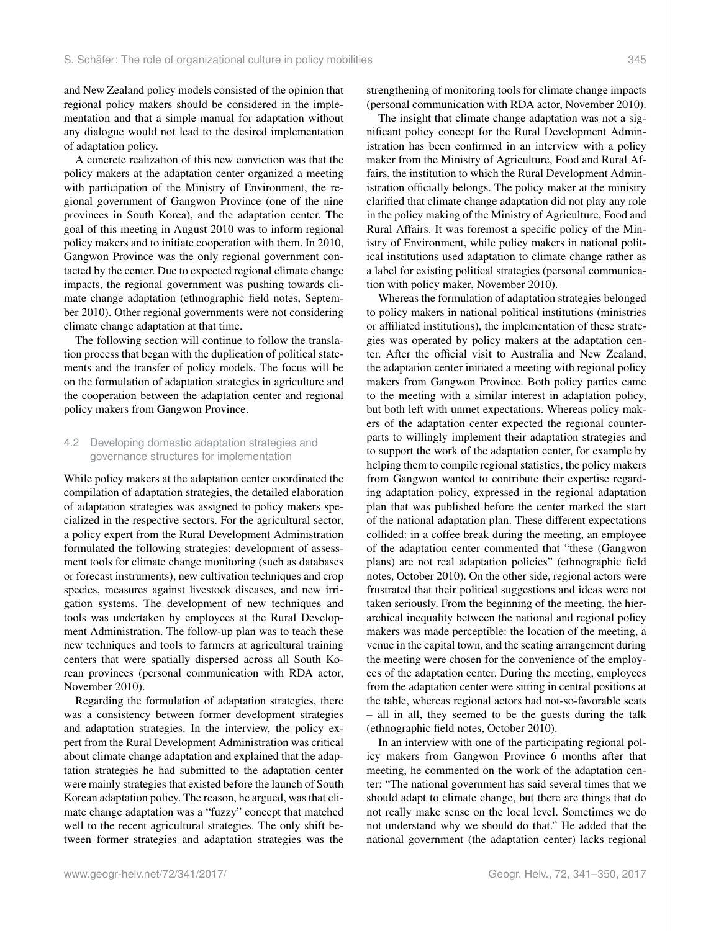and New Zealand policy models consisted of the opinion that regional policy makers should be considered in the implementation and that a simple manual for adaptation without any dialogue would not lead to the desired implementation of adaptation policy.

A concrete realization of this new conviction was that the policy makers at the adaptation center organized a meeting with participation of the Ministry of Environment, the regional government of Gangwon Province (one of the nine provinces in South Korea), and the adaptation center. The goal of this meeting in August 2010 was to inform regional policy makers and to initiate cooperation with them. In 2010, Gangwon Province was the only regional government contacted by the center. Due to expected regional climate change impacts, the regional government was pushing towards climate change adaptation (ethnographic field notes, September 2010). Other regional governments were not considering climate change adaptation at that time.

The following section will continue to follow the translation process that began with the duplication of political statements and the transfer of policy models. The focus will be on the formulation of adaptation strategies in agriculture and the cooperation between the adaptation center and regional policy makers from Gangwon Province.

#### 4.2 Developing domestic adaptation strategies and governance structures for implementation

While policy makers at the adaptation center coordinated the compilation of adaptation strategies, the detailed elaboration of adaptation strategies was assigned to policy makers specialized in the respective sectors. For the agricultural sector, a policy expert from the Rural Development Administration formulated the following strategies: development of assessment tools for climate change monitoring (such as databases or forecast instruments), new cultivation techniques and crop species, measures against livestock diseases, and new irrigation systems. The development of new techniques and tools was undertaken by employees at the Rural Development Administration. The follow-up plan was to teach these new techniques and tools to farmers at agricultural training centers that were spatially dispersed across all South Korean provinces (personal communication with RDA actor, November 2010).

Regarding the formulation of adaptation strategies, there was a consistency between former development strategies and adaptation strategies. In the interview, the policy expert from the Rural Development Administration was critical about climate change adaptation and explained that the adaptation strategies he had submitted to the adaptation center were mainly strategies that existed before the launch of South Korean adaptation policy. The reason, he argued, was that climate change adaptation was a "fuzzy" concept that matched well to the recent agricultural strategies. The only shift between former strategies and adaptation strategies was the strengthening of monitoring tools for climate change impacts (personal communication with RDA actor, November 2010).

The insight that climate change adaptation was not a significant policy concept for the Rural Development Administration has been confirmed in an interview with a policy maker from the Ministry of Agriculture, Food and Rural Affairs, the institution to which the Rural Development Administration officially belongs. The policy maker at the ministry clarified that climate change adaptation did not play any role in the policy making of the Ministry of Agriculture, Food and Rural Affairs. It was foremost a specific policy of the Ministry of Environment, while policy makers in national political institutions used adaptation to climate change rather as a label for existing political strategies (personal communication with policy maker, November 2010).

Whereas the formulation of adaptation strategies belonged to policy makers in national political institutions (ministries or affiliated institutions), the implementation of these strategies was operated by policy makers at the adaptation center. After the official visit to Australia and New Zealand, the adaptation center initiated a meeting with regional policy makers from Gangwon Province. Both policy parties came to the meeting with a similar interest in adaptation policy, but both left with unmet expectations. Whereas policy makers of the adaptation center expected the regional counterparts to willingly implement their adaptation strategies and to support the work of the adaptation center, for example by helping them to compile regional statistics, the policy makers from Gangwon wanted to contribute their expertise regarding adaptation policy, expressed in the regional adaptation plan that was published before the center marked the start of the national adaptation plan. These different expectations collided: in a coffee break during the meeting, an employee of the adaptation center commented that "these (Gangwon plans) are not real adaptation policies" (ethnographic field notes, October 2010). On the other side, regional actors were frustrated that their political suggestions and ideas were not taken seriously. From the beginning of the meeting, the hierarchical inequality between the national and regional policy makers was made perceptible: the location of the meeting, a venue in the capital town, and the seating arrangement during the meeting were chosen for the convenience of the employees of the adaptation center. During the meeting, employees from the adaptation center were sitting in central positions at the table, whereas regional actors had not-so-favorable seats – all in all, they seemed to be the guests during the talk (ethnographic field notes, October 2010).

In an interview with one of the participating regional policy makers from Gangwon Province 6 months after that meeting, he commented on the work of the adaptation center: "The national government has said several times that we should adapt to climate change, but there are things that do not really make sense on the local level. Sometimes we do not understand why we should do that." He added that the national government (the adaptation center) lacks regional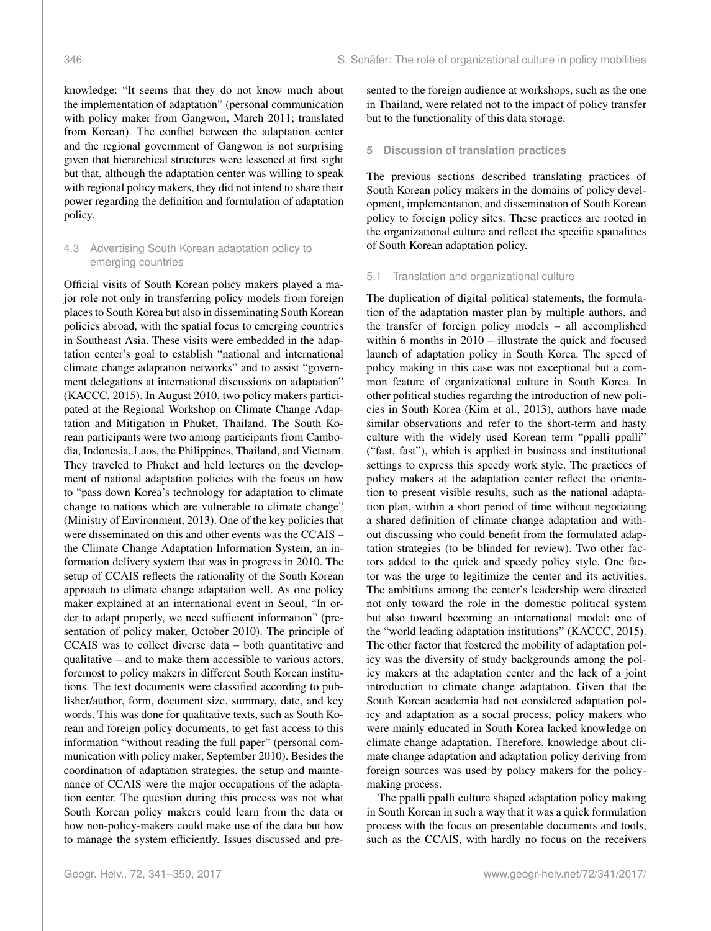knowledge: "It seems that they do not know much about the implementation of adaptation" (personal communication with policy maker from Gangwon, March 2011; translated from Korean). The conflict between the adaptation center and the regional government of Gangwon is not surprising given that hierarchical structures were lessened at first sight but that, although the adaptation center was willing to speak with regional policy makers, they did not intend to share their power regarding the definition and formulation of adaptation policy.

#### 4.3 Advertising South Korean adaptation policy to emerging countries

Official visits of South Korean policy makers played a major role not only in transferring policy models from foreign places to South Korea but also in disseminating South Korean policies abroad, with the spatial focus to emerging countries in Southeast Asia. These visits were embedded in the adaptation center's goal to establish "national and international climate change adaptation networks" and to assist "government delegations at international discussions on adaptation" (KACCC, 2015). In August 2010, two policy makers participated at the Regional Workshop on Climate Change Adaptation and Mitigation in Phuket, Thailand. The South Korean participants were two among participants from Cambodia, Indonesia, Laos, the Philippines, Thailand, and Vietnam. They traveled to Phuket and held lectures on the development of national adaptation policies with the focus on how to "pass down Korea's technology for adaptation to climate change to nations which are vulnerable to climate change" (Ministry of Environment, 2013). One of the key policies that were disseminated on this and other events was the CCAIS – the Climate Change Adaptation Information System, an information delivery system that was in progress in 2010. The setup of CCAIS reflects the rationality of the South Korean approach to climate change adaptation well. As one policy maker explained at an international event in Seoul, "In order to adapt properly, we need sufficient information" (presentation of policy maker, October 2010). The principle of CCAIS was to collect diverse data – both quantitative and qualitative – and to make them accessible to various actors, foremost to policy makers in different South Korean institutions. The text documents were classified according to publisher/author, form, document size, summary, date, and key words. This was done for qualitative texts, such as South Korean and foreign policy documents, to get fast access to this information "without reading the full paper" (personal communication with policy maker, September 2010). Besides the coordination of adaptation strategies, the setup and maintenance of CCAIS were the major occupations of the adaptation center. The question during this process was not what South Korean policy makers could learn from the data or how non-policy-makers could make use of the data but how to manage the system efficiently. Issues discussed and presented to the foreign audience at workshops, such as the one in Thailand, were related not to the impact of policy transfer but to the functionality of this data storage.

#### **5 Discussion of translation practices**

The previous sections described translating practices of South Korean policy makers in the domains of policy development, implementation, and dissemination of South Korean policy to foreign policy sites. These practices are rooted in the organizational culture and reflect the specific spatialities of South Korean adaptation policy.

#### 5.1 Translation and organizational culture

The duplication of digital political statements, the formulation of the adaptation master plan by multiple authors, and the transfer of foreign policy models – all accomplished within 6 months in 2010 – illustrate the quick and focused launch of adaptation policy in South Korea. The speed of policy making in this case was not exceptional but a common feature of organizational culture in South Korea. In other political studies regarding the introduction of new policies in South Korea (Kim et al., 2013), authors have made similar observations and refer to the short-term and hasty culture with the widely used Korean term "ppalli ppalli" ("fast, fast"), which is applied in business and institutional settings to express this speedy work style. The practices of policy makers at the adaptation center reflect the orientation to present visible results, such as the national adaptation plan, within a short period of time without negotiating a shared definition of climate change adaptation and without discussing who could benefit from the formulated adaptation strategies (to be blinded for review). Two other factors added to the quick and speedy policy style. One factor was the urge to legitimize the center and its activities. The ambitions among the center's leadership were directed not only toward the role in the domestic political system but also toward becoming an international model: one of the "world leading adaptation institutions" (KACCC, 2015). The other factor that fostered the mobility of adaptation policy was the diversity of study backgrounds among the policy makers at the adaptation center and the lack of a joint introduction to climate change adaptation. Given that the South Korean academia had not considered adaptation policy and adaptation as a social process, policy makers who were mainly educated in South Korea lacked knowledge on climate change adaptation. Therefore, knowledge about climate change adaptation and adaptation policy deriving from foreign sources was used by policy makers for the policymaking process.

The ppalli ppalli culture shaped adaptation policy making in South Korean in such a way that it was a quick formulation process with the focus on presentable documents and tools, such as the CCAIS, with hardly no focus on the receivers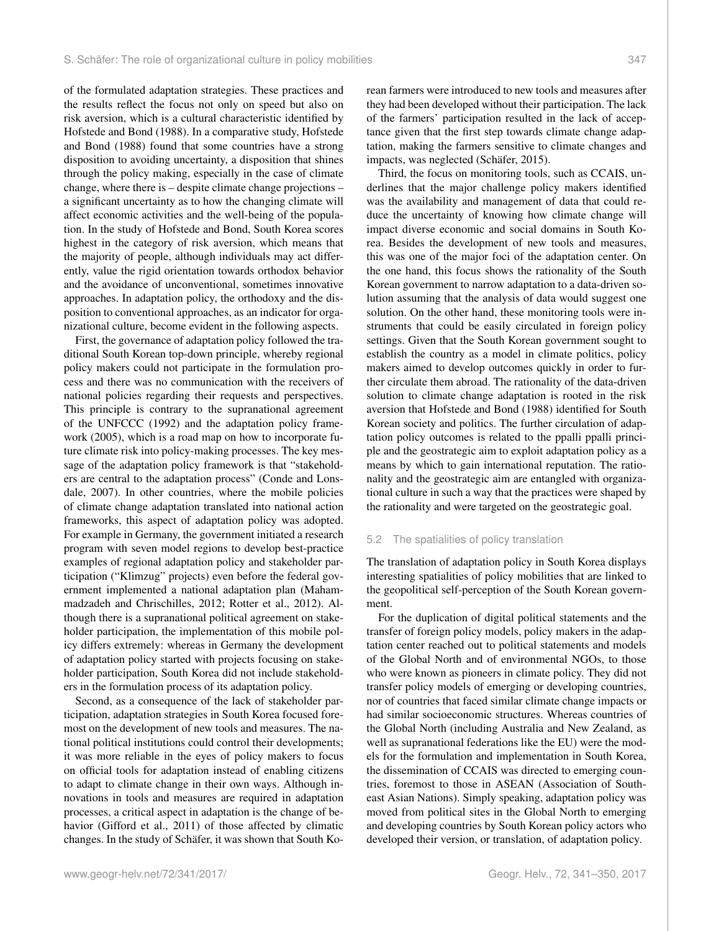of the formulated adaptation strategies. These practices and the results reflect the focus not only on speed but also on risk aversion, which is a cultural characteristic identified by Hofstede and Bond (1988). In a comparative study, Hofstede and Bond (1988) found that some countries have a strong disposition to avoiding uncertainty, a disposition that shines through the policy making, especially in the case of climate change, where there is – despite climate change projections – a significant uncertainty as to how the changing climate will affect economic activities and the well-being of the population. In the study of Hofstede and Bond, South Korea scores highest in the category of risk aversion, which means that the majority of people, although individuals may act differently, value the rigid orientation towards orthodox behavior and the avoidance of unconventional, sometimes innovative approaches. In adaptation policy, the orthodoxy and the disposition to conventional approaches, as an indicator for organizational culture, become evident in the following aspects.

First, the governance of adaptation policy followed the traditional South Korean top-down principle, whereby regional policy makers could not participate in the formulation process and there was no communication with the receivers of national policies regarding their requests and perspectives. This principle is contrary to the supranational agreement of the UNFCCC (1992) and the adaptation policy framework (2005), which is a road map on how to incorporate future climate risk into policy-making processes. The key message of the adaptation policy framework is that "stakeholders are central to the adaptation process" (Conde and Lonsdale, 2007). In other countries, where the mobile policies of climate change adaptation translated into national action frameworks, this aspect of adaptation policy was adopted. For example in Germany, the government initiated a research program with seven model regions to develop best-practice examples of regional adaptation policy and stakeholder participation ("Klimzug" projects) even before the federal government implemented a national adaptation plan (Mahammadzadeh and Chrischilles, 2012; Rotter et al., 2012). Although there is a supranational political agreement on stakeholder participation, the implementation of this mobile policy differs extremely: whereas in Germany the development of adaptation policy started with projects focusing on stakeholder participation, South Korea did not include stakeholders in the formulation process of its adaptation policy.

Second, as a consequence of the lack of stakeholder participation, adaptation strategies in South Korea focused foremost on the development of new tools and measures. The national political institutions could control their developments; it was more reliable in the eyes of policy makers to focus on official tools for adaptation instead of enabling citizens to adapt to climate change in their own ways. Although innovations in tools and measures are required in adaptation processes, a critical aspect in adaptation is the change of behavior (Gifford et al., 2011) of those affected by climatic changes. In the study of Schäfer, it was shown that South Korean farmers were introduced to new tools and measures after they had been developed without their participation. The lack of the farmers' participation resulted in the lack of acceptance given that the first step towards climate change adaptation, making the farmers sensitive to climate changes and impacts, was neglected (Schäfer, 2015).

Third, the focus on monitoring tools, such as CCAIS, underlines that the major challenge policy makers identified was the availability and management of data that could reduce the uncertainty of knowing how climate change will impact diverse economic and social domains in South Korea. Besides the development of new tools and measures, this was one of the major foci of the adaptation center. On the one hand, this focus shows the rationality of the South Korean government to narrow adaptation to a data-driven solution assuming that the analysis of data would suggest one solution. On the other hand, these monitoring tools were instruments that could be easily circulated in foreign policy settings. Given that the South Korean government sought to establish the country as a model in climate politics, policy makers aimed to develop outcomes quickly in order to further circulate them abroad. The rationality of the data-driven solution to climate change adaptation is rooted in the risk aversion that Hofstede and Bond (1988) identified for South Korean society and politics. The further circulation of adaptation policy outcomes is related to the ppalli ppalli principle and the geostrategic aim to exploit adaptation policy as a means by which to gain international reputation. The rationality and the geostrategic aim are entangled with organizational culture in such a way that the practices were shaped by the rationality and were targeted on the geostrategic goal.

#### 5.2 The spatialities of policy translation

The translation of adaptation policy in South Korea displays interesting spatialities of policy mobilities that are linked to the geopolitical self-perception of the South Korean government.

For the duplication of digital political statements and the transfer of foreign policy models, policy makers in the adaptation center reached out to political statements and models of the Global North and of environmental NGOs, to those who were known as pioneers in climate policy. They did not transfer policy models of emerging or developing countries, nor of countries that faced similar climate change impacts or had similar socioeconomic structures. Whereas countries of the Global North (including Australia and New Zealand, as well as supranational federations like the EU) were the models for the formulation and implementation in South Korea, the dissemination of CCAIS was directed to emerging countries, foremost to those in ASEAN (Association of Southeast Asian Nations). Simply speaking, adaptation policy was moved from political sites in the Global North to emerging and developing countries by South Korean policy actors who developed their version, or translation, of adaptation policy.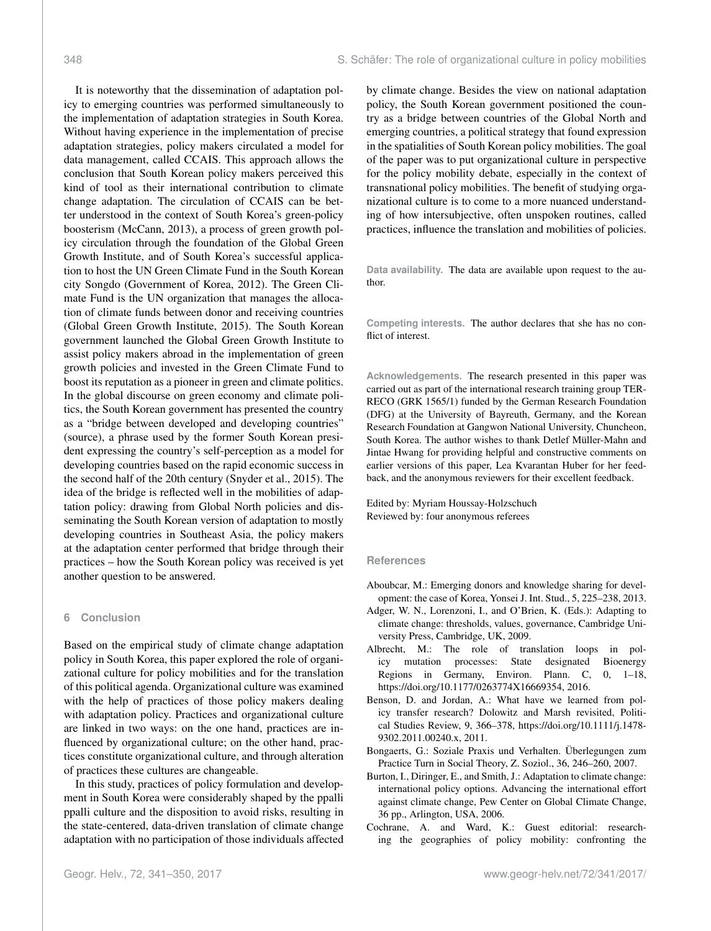It is noteworthy that the dissemination of adaptation policy to emerging countries was performed simultaneously to the implementation of adaptation strategies in South Korea. Without having experience in the implementation of precise adaptation strategies, policy makers circulated a model for data management, called CCAIS. This approach allows the conclusion that South Korean policy makers perceived this kind of tool as their international contribution to climate change adaptation. The circulation of CCAIS can be better understood in the context of South Korea's green-policy boosterism (McCann, 2013), a process of green growth policy circulation through the foundation of the Global Green Growth Institute, and of South Korea's successful application to host the UN Green Climate Fund in the South Korean city Songdo (Government of Korea, 2012). The Green Climate Fund is the UN organization that manages the allocation of climate funds between donor and receiving countries (Global Green Growth Institute, 2015). The South Korean government launched the Global Green Growth Institute to assist policy makers abroad in the implementation of green growth policies and invested in the Green Climate Fund to boost its reputation as a pioneer in green and climate politics. In the global discourse on green economy and climate politics, the South Korean government has presented the country as a "bridge between developed and developing countries" (source), a phrase used by the former South Korean president expressing the country's self-perception as a model for developing countries based on the rapid economic success in the second half of the 20th century (Snyder et al., 2015). The idea of the bridge is reflected well in the mobilities of adaptation policy: drawing from Global North policies and disseminating the South Korean version of adaptation to mostly developing countries in Southeast Asia, the policy makers at the adaptation center performed that bridge through their practices – how the South Korean policy was received is yet another question to be answered.

#### **6 Conclusion**

Based on the empirical study of climate change adaptation policy in South Korea, this paper explored the role of organizational culture for policy mobilities and for the translation of this political agenda. Organizational culture was examined with the help of practices of those policy makers dealing with adaptation policy. Practices and organizational culture are linked in two ways: on the one hand, practices are influenced by organizational culture; on the other hand, practices constitute organizational culture, and through alteration of practices these cultures are changeable.

In this study, practices of policy formulation and development in South Korea were considerably shaped by the ppalli ppalli culture and the disposition to avoid risks, resulting in the state-centered, data-driven translation of climate change adaptation with no participation of those individuals affected by climate change. Besides the view on national adaptation policy, the South Korean government positioned the country as a bridge between countries of the Global North and emerging countries, a political strategy that found expression in the spatialities of South Korean policy mobilities. The goal of the paper was to put organizational culture in perspective for the policy mobility debate, especially in the context of transnational policy mobilities. The benefit of studying organizational culture is to come to a more nuanced understanding of how intersubjective, often unspoken routines, called practices, influence the translation and mobilities of policies.

**Data availability.** The data are available upon request to the author.

**Competing interests.** The author declares that she has no conflict of interest.

**Acknowledgements.** The research presented in this paper was carried out as part of the international research training group TER-RECO (GRK 1565/1) funded by the German Research Foundation (DFG) at the University of Bayreuth, Germany, and the Korean Research Foundation at Gangwon National University, Chuncheon, South Korea. The author wishes to thank Detlef Müller-Mahn and Jintae Hwang for providing helpful and constructive comments on earlier versions of this paper, Lea Kvarantan Huber for her feedback, and the anonymous reviewers for their excellent feedback.

Edited by: Myriam Houssay-Holzschuch Reviewed by: four anonymous referees

#### **References**

- Aboubcar, M.: Emerging donors and knowledge sharing for development: the case of Korea, Yonsei J. Int. Stud., 5, 225–238, 2013.
- Adger, W. N., Lorenzoni, I., and O'Brien, K. (Eds.): Adapting to climate change: thresholds, values, governance, Cambridge University Press, Cambridge, UK, 2009.
- Albrecht, M.: The role of translation loops in policy mutation processes: State designated Bioenergy Regions in Germany, Environ. Plann. C, 0, 1–18, https://doi.org[/10.1177/0263774X16669354,](https://doi.org/10.1177/0263774X16669354) 2016.
- Benson, D. and Jordan, A.: What have we learned from policy transfer research? Dolowitz and Marsh revisited, Political Studies Review, 9, 366–378, https://doi.org[/10.1111/j.1478-](https://doi.org/10.1111/j.1478-9302.2011.00240.x) [9302.2011.00240.x,](https://doi.org/10.1111/j.1478-9302.2011.00240.x) 2011.
- Bongaerts, G.: Soziale Praxis und Verhalten. Überlegungen zum Practice Turn in Social Theory, Z. Soziol., 36, 246–260, 2007.
- Burton, I., Diringer, E., and Smith, J.: Adaptation to climate change: international policy options. Advancing the international effort against climate change, Pew Center on Global Climate Change, 36 pp., Arlington, USA, 2006.
- Cochrane, A. and Ward, K.: Guest editorial: researching the geographies of policy mobility: confronting the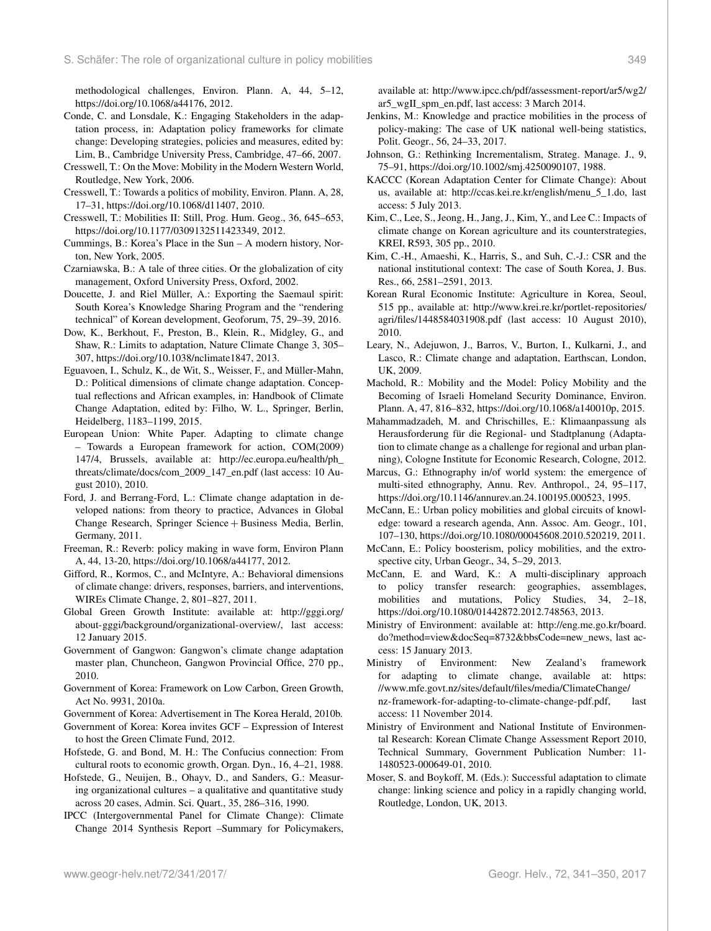methodological challenges, Environ. Plann. A, 44, 5–12, https://doi.org[/10.1068/a44176,](https://doi.org/10.1068/a44176) 2012.

- Conde, C. and Lonsdale, K.: Engaging Stakeholders in the adaptation process, in: Adaptation policy frameworks for climate change: Developing strategies, policies and measures, edited by: Lim, B., Cambridge University Press, Cambridge, 47–66, 2007.
- Cresswell, T.: On the Move: Mobility in the Modern Western World, Routledge, New York, 2006.
- Cresswell, T.: Towards a politics of mobility, Environ. Plann. A, 28, 17–31, https://doi.org[/10.1068/d11407,](https://doi.org/10.1068/d11407) 2010.
- Cresswell, T.: Mobilities II: Still, Prog. Hum. Geog., 36, 645–653, https://doi.org[/10.1177/0309132511423349,](https://doi.org/10.1177/0309132511423349) 2012.
- Cummings, B.: Korea's Place in the Sun A modern history, Norton, New York, 2005.
- Czarniawska, B.: A tale of three cities. Or the globalization of city management, Oxford University Press, Oxford, 2002.
- Doucette, J. and Riel Müller, A.: Exporting the Saemaul spirit: South Korea's Knowledge Sharing Program and the "rendering technical" of Korean development, Geoforum, 75, 29–39, 2016.
- Dow, K., Berkhout, F., Preston, B., Klein, R., Midgley, G., and Shaw, R.: Limits to adaptation, Nature Climate Change 3, 305– 307, https://doi.org[/10.1038/nclimate1847,](https://doi.org/10.1038/nclimate1847) 2013.
- Eguavoen, I., Schulz, K., de Wit, S., Weisser, F., and Müller-Mahn, D.: Political dimensions of climate change adaptation. Conceptual reflections and African examples, in: Handbook of Climate Change Adaptation, edited by: Filho, W. L., Springer, Berlin, Heidelberg, 1183–1199, 2015.
- European Union: White Paper. Adapting to climate change – Towards a European framework for action, COM(2009) 147/4, Brussels, available at: [http://ec.europa.eu/health/ph\\_](http://ec.europa.eu/health/ph_threats/climate/docs/com_2009_147_en.pdf) [threats/climate/docs/com\\_2009\\_147\\_en.pdf](http://ec.europa.eu/health/ph_threats/climate/docs/com_2009_147_en.pdf) (last access: 10 August 2010), 2010.
- Ford, J. and Berrang-Ford, L.: Climate change adaptation in developed nations: from theory to practice, Advances in Global Change Research, Springer Science + Business Media, Berlin, Germany, 2011.
- Freeman, R.: Reverb: policy making in wave form, Environ Plann A, 44, 13-20, https://doi.org[/10.1068/a44177,](https://doi.org/10.1068/a44177) 2012.
- Gifford, R., Kormos, C., and McIntyre, A.: Behavioral dimensions of climate change: drivers, responses, barriers, and interventions, WIREs Climate Change, 2, 801–827, 2011.
- Global Green Growth Institute: available at: [http://gggi.org/](http://gggi.org/about-gggi/background/organizational-overview/) [about-gggi/background/organizational-overview/,](http://gggi.org/about-gggi/background/organizational-overview/) last access: 12 January 2015.
- Government of Gangwon: Gangwon's climate change adaptation master plan, Chuncheon, Gangwon Provincial Office, 270 pp., 2010.
- Government of Korea: Framework on Low Carbon, Green Growth, Act No. 9931, 2010a.
- Government of Korea: Advertisement in The Korea Herald, 2010b.
- Government of Korea: Korea invites GCF Expression of Interest to host the Green Climate Fund, 2012.
- Hofstede, G. and Bond, M. H.: The Confucius connection: From cultural roots to economic growth, Organ. Dyn., 16, 4–21, 1988.
- Hofstede, G., Neuijen, B., Ohayv, D., and Sanders, G.: Measuring organizational cultures – a qualitative and quantitative study across 20 cases, Admin. Sci. Quart., 35, 286–316, 1990.
- IPCC (Intergovernmental Panel for Climate Change): Climate Change 2014 Synthesis Report –Summary for Policymakers,

available at: [http://www.ipcc.ch/pdf/assessment-report/ar5/wg2/](http://www.ipcc.ch/pdf/assessment-report/ar5/wg2/ar5_wgII_spm_en.pdf) [ar5\\_wgII\\_spm\\_en.pdf,](http://www.ipcc.ch/pdf/assessment-report/ar5/wg2/ar5_wgII_spm_en.pdf) last access: 3 March 2014.

- Jenkins, M.: Knowledge and practice mobilities in the process of policy-making: The case of UK national well-being statistics, Polit. Geogr., 56, 24–33, 2017.
- Johnson, G.: Rethinking Incrementalism, Strateg. Manage. J., 9, 75–91, https://doi.org[/10.1002/smj.4250090107,](https://doi.org/10.1002/smj.4250090107) 1988.
- KACCC (Korean Adaptation Center for Climate Change): About us, available at: [http://ccas.kei.re.kr/english/menu\\_5\\_1.do,](http://ccas.kei.re.kr/english/menu_5_1.do) last access: 5 July 2013.
- Kim, C., Lee, S., Jeong, H., Jang, J., Kim, Y., and Lee C.: Impacts of climate change on Korean agriculture and its counterstrategies, KREI, R593, 305 pp., 2010.
- Kim, C.-H., Amaeshi, K., Harris, S., and Suh, C.-J.: CSR and the national institutional context: The case of South Korea, J. Bus. Res., 66, 2581–2591, 2013.
- Korean Rural Economic Institute: Agriculture in Korea, Seoul, 515 pp., available at: [http://www.krei.re.kr/portlet-repositories/](http://www.krei.re.kr/portlet-repositories/agri/files/1448584031908.pdf) [agri/files/1448584031908.pdf](http://www.krei.re.kr/portlet-repositories/agri/files/1448584031908.pdf) (last access: 10 August 2010), 2010.
- Leary, N., Adejuwon, J., Barros, V., Burton, I., Kulkarni, J., and Lasco, R.: Climate change and adaptation, Earthscan, London, UK, 2009.
- Machold, R.: Mobility and the Model: Policy Mobility and the Becoming of Israeli Homeland Security Dominance, Environ. Plann. A, 47, 816–832, https://doi.org[/10.1068/a140010p,](https://doi.org/10.1068/a140010p) 2015.
- Mahammadzadeh, M. and Chrischilles, E.: Klimaanpassung als Herausforderung für die Regional- und Stadtplanung (Adaptation to climate change as a challenge for regional and urban planning), Cologne Institute for Economic Research, Cologne, 2012.
- Marcus, G.: Ethnography in/of world system: the emergence of multi-sited ethnography, Annu. Rev. Anthropol., 24, 95–117, https://doi.org[/10.1146/annurev.an.24.100195.000523,](https://doi.org/10.1146/annurev.an.24.100195.000523) 1995.
- McCann, E.: Urban policy mobilities and global circuits of knowledge: toward a research agenda, Ann. Assoc. Am. Geogr., 101, 107–130, https://doi.org[/10.1080/00045608.2010.520219,](https://doi.org/10.1080/00045608.2010.520219) 2011.
- McCann, E.: Policy boosterism, policy mobilities, and the extrospective city, Urban Geogr., 34, 5–29, 2013.
- McCann, E. and Ward, K.: A multi-disciplinary approach to policy transfer research: geographies, assemblages, mobilities and mutations, Policy Studies, 34, 2–18, https://doi.org[/10.1080/01442872.2012.748563,](https://doi.org/10.1080/01442872.2012.748563) 2013.
- Ministry of Environment: available at: [http://eng.me.go.kr/board.](http://eng.me.go.kr/board.do?method=view&docSeq=8732&bbsCode=new_news) [do?method=view&docSeq=8732&bbsCode=new\\_news,](http://eng.me.go.kr/board.do?method=view&docSeq=8732&bbsCode=new_news) last access: 15 January 2013.
- Ministry of Environment: New Zealand's framework for adapting to climate change, available at: [https:](https://www.mfe.govt.nz/sites/default/files/media/Climate Change/nz-framework-for-adapting-to-climate-change-pdf.pdf) [//www.mfe.govt.nz/sites/default/files/media/ClimateChange/](https://www.mfe.govt.nz/sites/default/files/media/Climate Change/nz-framework-for-adapting-to-climate-change-pdf.pdf) [nz-framework-for-adapting-to-climate-change-pdf.pdf,](https://www.mfe.govt.nz/sites/default/files/media/Climate Change/nz-framework-for-adapting-to-climate-change-pdf.pdf) last access: 11 November 2014.
- Ministry of Environment and National Institute of Environmental Research: Korean Climate Change Assessment Report 2010, Technical Summary, Government Publication Number: 11- 1480523-000649-01, 2010.
- Moser, S. and Boykoff, M. (Eds.): Successful adaptation to climate change: linking science and policy in a rapidly changing world, Routledge, London, UK, 2013.